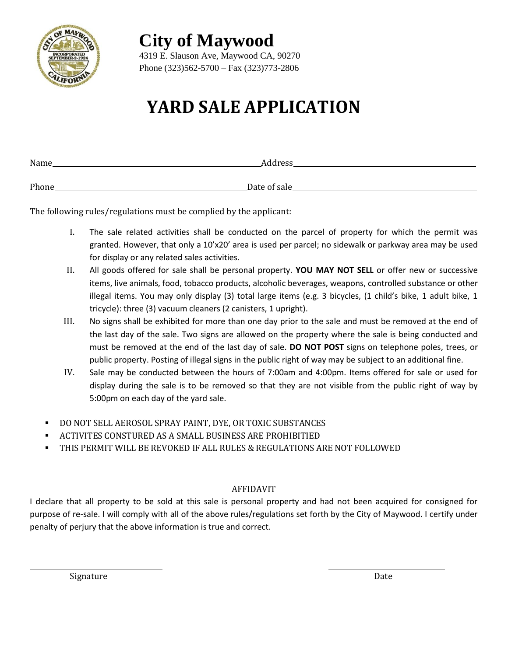

**City of Maywood**

4319 E. Slauson Ave, Maywood CA, 90270 Phone (323)562-5700 – Fax (323)773-2806

## **YARD SALE APPLICATION**

| Name  | Address      |
|-------|--------------|
|       |              |
| Phone | Date of sale |

The following rules/regulations must be complied by the applicant:

- I. The sale related activities shall be conducted on the parcel of property for which the permit was granted. However, that only a 10'x20' area is used per parcel; no sidewalk or parkway area may be used for display or any related sales activities.
- II. All goods offered for sale shall be personal property. **YOU MAY NOT SELL** or offer new or successive items, live animals, food, tobacco products, alcoholic beverages, weapons, controlled substance or other illegal items. You may only display (3) total large items (e.g. 3 bicycles, (1 child's bike, 1 adult bike, 1 tricycle): three (3) vacuum cleaners (2 canisters, 1 upright).
- III. No signs shall be exhibited for more than one day prior to the sale and must be removed at the end of the last day of the sale. Two signs are allowed on the property where the sale is being conducted and must be removed at the end of the last day of sale. **DO NOT POST** signs on telephone poles, trees, or public property. Posting of illegal signs in the public right of way may be subject to an additional fine.
- IV. Sale may be conducted between the hours of 7:00am and 4:00pm. Items offered for sale or used for display during the sale is to be removed so that they are not visible from the public right of way by 5:00pm on each day of the yard sale.
- DO NOT SELL AEROSOL SPRAY PAINT, DYE, OR TOXIC SUBSTANCES
- ACTIVITES CONSTURED AS A SMALL BUSINESS ARE PROHIBITIED
- THIS PERMIT WILL BE REVOKED IF ALL RULES & REGULATIONS ARE NOT FOLLOWED

## AFFIDAVIT

I declare that all property to be sold at this sale is personal property and had not been acquired for consigned for purpose of re-sale. I will comply with all of the above rules/regulations set forth by the City of Maywood. I certify under penalty of perjury that the above information is true and correct.

Signature Date

 $\overline{\phantom{0}}$